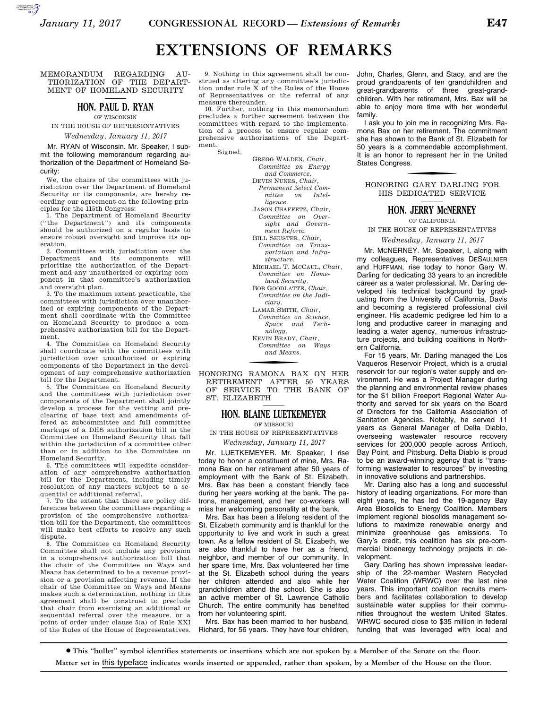# **EXTENSIONS OF REMARKS**

MEMORANDUM REGARDING AU-THORIZATION OF THE DEPART-MENT OF HOMELAND SECURITY

AUTOROTOMICALE CONTINUES

## **HON. PAUL D. RYAN**

OF WISCONSIN IN THE HOUSE OF REPRESENTATIVES

*Wednesday, January 11, 2017* 

Mr. RYAN of Wisconsin. Mr. Speaker, I submit the following memorandum regarding authorization of the Department of Homeland Security:

We, the chairs of the committees with jurisdiction over the Department of Homeland Security or its components, are hereby recording our agreement on the following principles for the 115th Congress:

1. The Department of Homeland Security (''the Department'') and its components should be authorized on a regular basis to ensure robust oversight and improve its operation.

2. Committees with jurisdiction over the Department and its components will prioritize the authorization of the Department and any unauthorized or expiring component in that committee's authorization and oversight plan.

3. To the maximum extent practicable, the committees with jurisdiction over unauthorized or expiring components of the Department shall coordinate with the Committee on Homeland Security to produce a comprehensive authorization bill for the Department.

4. The Committee on Homeland Security shall coordinate with the committees with jurisdiction over unauthorized or expiring components of the Department in the development of any comprehensive authorization bill for the Department.

5. The Committee on Homeland Security and the committees with jurisdiction over components of the Department shall jointly develop a process for the vetting and preclearing of base text and amendments offered at subcommittee and full committee markups of a DHS authorization bill in the Committee on Homeland Security that fall within the jurisdiction of a committee other than or in addition to the Committee on Homeland Security.

6. The committees will expedite consideration of any comprehensive authorization bill for the Department, including timely resolution of any matters subject to a sequential or additional referral.

7. To the extent that there are policy differences between the committees regarding a provision of the comprehensive authorization bill for the Department, the committees will make best efforts to resolve any such dispute.

8. The Committee on Homeland Security Committee shall not include any provision in a comprehensive authorization bill that the chair of the Committee on Ways and Means has determined to be a revenue provision or a provision affecting revenue. If the chair of the Committee on Ways and Means makes such a determination, nothing in this agreement shall be construed to preclude that chair from exercising an additional or sequential referral over the measure, or a point of order under clause 5(a) of Rule XXI of the Rules of the House of Representatives.

9. Nothing in this agreement shall be construed as altering any committee's jurisdiction under rule X of the Rules of the House of Representatives or the referral of any measure thereunder.

10. Further, nothing in this memorandum precludes a further agreement between the committees with regard to the implementation of a process to ensure regular comprehensive authorizations of the Department.

Signed,

GREGG WALDEN, *Chair, Committee on Energy and Commerce.*  DEVIN NUNES, *Chair, Permanent Select Committee on Intelligence.*  JASON CHAFFETZ, *Chair, Committee on Oversight and Government Reform.*  BILL SHUSTER, *Chair, Committee on Transportation and Infrastructure.*  MICHAEL T. MCCAUL, *Chair, Committee on Homeland Security.*  BOB GOODLATTE, *Chair, Committee on the Judiciary.*  LAMAR SMITH, *Chair, Committee on Science, Space and Technology.*  KEVIN BRADY, *Chair, Committee on Ways* 

*and Means.* 

HONORING RAMONA BAX ON HER RETIREMENT AFTER 50 YEARS OF SERVICE TO THE BANK OF ST. ELIZABETH

## **HON. BLAINE LUETKEMEYER**

OF MISSOURI

IN THE HOUSE OF REPRESENTATIVES

*Wednesday, January 11, 2017* 

Mr. LUETKEMEYER. Mr. Speaker, I rise today to honor a constituent of mine, Mrs. Ramona Bax on her retirement after 50 years of employment with the Bank of St. Elizabeth. Mrs. Bax has been a constant friendly face during her years working at the bank. The patrons, management, and her co-workers will miss her welcoming personality at the bank.

Mrs. Bax has been a lifelong resident of the St. Elizabeth community and is thankful for the opportunity to live and work in such a great town. As a fellow resident of St. Elizabeth, we are also thankful to have her as a friend, neighbor, and member of our community. In her spare time, Mrs. Bax volunteered her time at the St. Elizabeth school during the years her children attended and also while her grandchildren attend the school. She is also an active member of St. Lawrence Catholic Church. The entire community has benefited from her volunteering spirit.

Mrs. Bax has been married to her husband, Richard, for 56 years. They have four children,

John, Charles, Glenn, and Stacy, and are the proud grandparents of ten grandchildren and great-grandparents of three great-grandchildren. With her retirement, Mrs. Bax will be able to enjoy more time with her wonderful family.

I ask you to join me in recognizing Mrs. Ramona Bax on her retirement. The commitment she has shown to the Bank of St. Elizabeth for 50 years is a commendable accomplishment. It is an honor to represent her in the United States Congress.

f HONORING GARY DARLING FOR HIS DEDICATED SERVICE

## **HON. JERRY McNERNEY**

OF CALIFORNIA

IN THE HOUSE OF REPRESENTATIVES

*Wednesday, January 11, 2017* 

Mr. MCNERNEY. Mr. Speaker, I, along with my colleagues, Representatives DESAULNIER and HUFFMAN, rise today to honor Gary W. Darling for dedicating 33 years to an incredible career as a water professional. Mr. Darling developed his technical background by graduating from the University of California, Davis and becoming a registered professional civil engineer. His academic pedigree led him to a long and productive career in managing and leading a water agency, numerous infrastructure projects, and building coalitions in Northern California.

For 15 years, Mr. Darling managed the Los Vaqueros Reservoir Project, which is a crucial reservoir for our region's water supply and environment. He was a Project Manager during the planning and environmental review phases for the \$1 billion Freeport Regional Water Authority and served for six years on the Board of Directors for the California Association of Sanitation Agencies. Notably, he served 11 years as General Manager of Delta Diablo, overseeing wastewater resource recovery services for 200,000 people across Antioch, Bay Point, and Pittsburg. Delta Diablo is proud to be an award-winning agency that is ''transforming wastewater to resources'' by investing in innovative solutions and partnerships.

Mr. Darling also has a long and successful history of leading organizations. For more than eight years, he has led the 19-agency Bay Area Biosolids to Energy Coalition. Members implement regional biosolids management solutions to maximize renewable energy and minimize greenhouse gas emissions. To Gary's credit, this coalition has six pre-commercial bioenergy technology projects in development.

Gary Darling has shown impressive leadership of the 22-member Western Recycled Water Coalition (WRWC) over the last nine years. This important coalition recruits members and facilitates collaboration to develop sustainable water supplies for their communities throughout the western United States. WRWC secured close to \$35 million in federal funding that was leveraged with local and

∑ **This ''bullet'' symbol identifies statements or insertions which are not spoken by a Member of the Senate on the floor.**

**Matter set in** this typeface **indicates words inserted or appended, rather than spoken, by a Member of the House on the floor.**